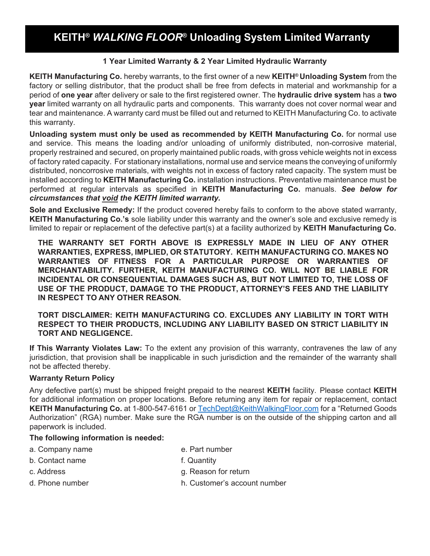# **KEITH®** *WALKING FLOOR***® Unloading System Limited Warranty**

### **1 Year Limited Warranty & 2 Year Limited Hydraulic Warranty**

**KEITH Manufacturing Co.** hereby warrants, to the first owner of a new **KEITH® Unloading System** from the factory or selling distributor, that the product shall be free from defects in material and workmanship for a period of **one year** after delivery or sale to the first registered owner. The **hydraulic drive system** has a **two year** limited warranty on all hydraulic parts and components. This warranty does not cover normal wear and tear and maintenance. A warranty card must be filled out and returned to KEITH Manufacturing Co. to activate this warranty.

**Unloading system must only be used as recommended by KEITH Manufacturing Co.** for normal use and service. This means the loading and/or unloading of uniformly distributed, non-corrosive material, properly restrained and secured, on properly maintained public roads, with gross vehicle weights not in excess of factory rated capacity. For stationary installations, normal use and service means the conveying of uniformly distributed, noncorrosive materials, with weights not in excess of factory rated capacity. The system must be installed according to **KEITH Manufacturing Co.** installation instructions. Preventative maintenance must be performed at regular intervals as specified in **KEITH Manufacturing Co.** manuals. *See below for circumstances that void the KEITH limited warranty.*

**Sole and Exclusive Remedy:** If the product covered hereby fails to conform to the above stated warranty, **KEITH Manufacturing Co.'s** sole liability under this warranty and the owner's sole and exclusive remedy is limited to repair or replacement of the defective part(s) at a facility authorized by **KEITH Manufacturing Co.**

**THE WARRANTY SET FORTH ABOVE IS EXPRESSLY MADE IN LIEU OF ANY OTHER WARRANTIES, EXPRESS, IMPLIED, OR STATUTORY. KEITH MANUFACTURING CO. MAKES NO WARRANTIES OF FITNESS FOR A PARTICULAR PURPOSE OR WARRANTIES OF MERCHANTABILITY. FURTHER, KEITH MANUFACTURING CO. WILL NOT BE LIABLE FOR INCIDENTAL OR CONSEQUENTIAL DAMAGES SUCH AS, BUT NOT LIMITED TO, THE LOSS OF USE OF THE PRODUCT, DAMAGE TO THE PRODUCT, ATTORNEY'S FEES AND THE LIABILITY IN RESPECT TO ANY OTHER REASON.**

**TORT DISCLAIMER: KEITH MANUFACTURING CO. EXCLUDES ANY LIABILITY IN TORT WITH RESPECT TO THEIR PRODUCTS, INCLUDING ANY LIABILITY BASED ON STRICT LIABILITY IN TORT AND NEGLIGENCE.**

**If This Warranty Violates Law:** To the extent any provision of this warranty, contravenes the law of any jurisdiction, that provision shall be inapplicable in such jurisdiction and the remainder of the warranty shall not be affected thereby.

#### **Warranty Return Policy**

Any defective part(s) must be shipped freight prepaid to the nearest **KEITH** facility. Please contact **KEITH** for additional information on proper locations. Before returning any item for repair or replacement, contact **KEITH Manufacturing Co.** at 1-800-547-6161 or [TechDept@KeithWalkingFloor.com](mailto:TechDept@KeithWalkingFloor.com) for a "Returned Goods Authorization" (RGA) number. Make sure the RGA number is on the outside of the shipping carton and all paperwork is included.

#### **The following information is needed:**

- a. Company name e. Part number
- b. Contact name f. Quantity
- 
- c. Address g. Reason for return
- 
- d. Phone number h. Customer's account number